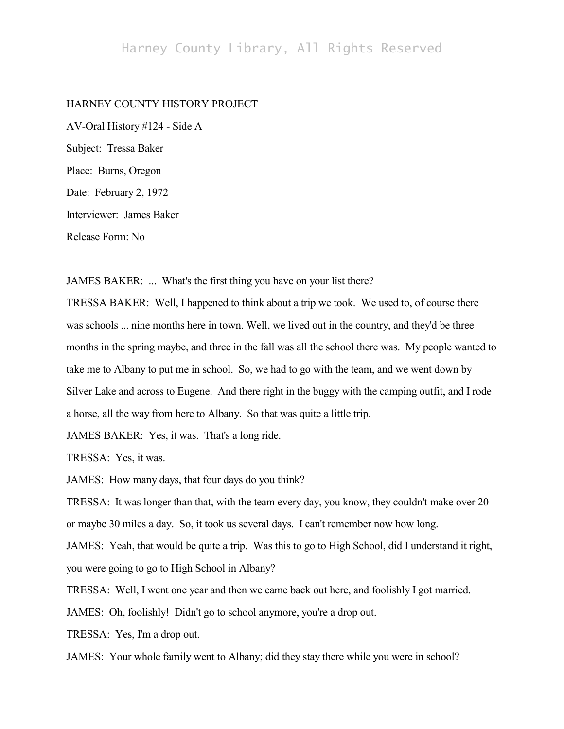## Harney County Library, All Rights Reserved

## HARNEY COUNTY HISTORY PROJECT

AV-Oral History #124 - Side A Subject: Tressa Baker Place: Burns, Oregon Date: February 2, 1972 Interviewer: James Baker Release Form: No

JAMES BAKER: ... What's the first thing you have on your list there?

TRESSA BAKER: Well, I happened to think about a trip we took. We used to, of course there was schools ... nine months here in town. Well, we lived out in the country, and they'd be three months in the spring maybe, and three in the fall was all the school there was. My people wanted to take me to Albany to put me in school. So, we had to go with the team, and we went down by Silver Lake and across to Eugene. And there right in the buggy with the camping outfit, and I rode a horse, all the way from here to Albany. So that was quite a little trip.

JAMES BAKER: Yes, it was. That's a long ride.

TRESSA: Yes, it was.

JAMES: How many days, that four days do you think?

TRESSA: It was longer than that, with the team every day, you know, they couldn't make over 20 or maybe 30 miles a day. So, it took us several days. I can't remember now how long.

JAMES: Yeah, that would be quite a trip. Was this to go to High School, did I understand it right, you were going to go to High School in Albany?

TRESSA: Well, I went one year and then we came back out here, and foolishly I got married.

JAMES: Oh, foolishly! Didn't go to school anymore, you're a drop out.

TRESSA: Yes, I'm a drop out.

JAMES: Your whole family went to Albany; did they stay there while you were in school?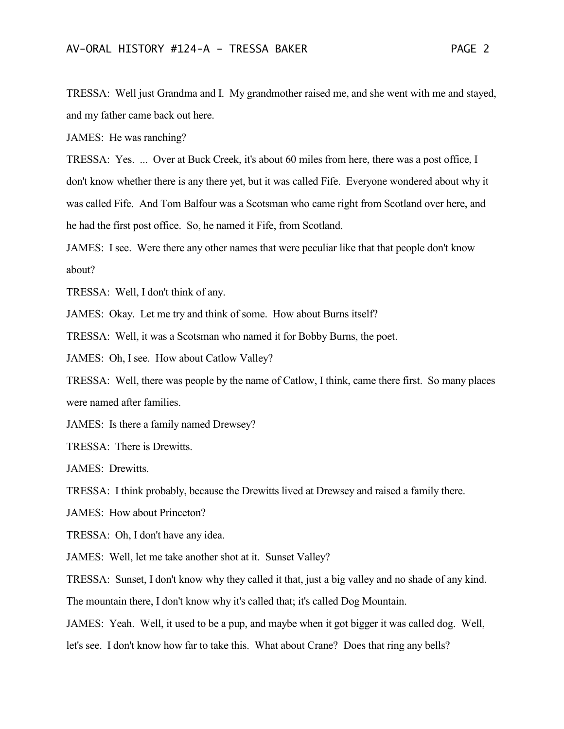TRESSA: Well just Grandma and I. My grandmother raised me, and she went with me and stayed, and my father came back out here.

JAMES: He was ranching?

TRESSA: Yes. ... Over at Buck Creek, it's about 60 miles from here, there was a post office, I don't know whether there is any there yet, but it was called Fife. Everyone wondered about why it was called Fife. And Tom Balfour was a Scotsman who came right from Scotland over here, and he had the first post office. So, he named it Fife, from Scotland.

JAMES: I see. Were there any other names that were peculiar like that that people don't know about?

TRESSA: Well, I don't think of any.

JAMES: Okay. Let me try and think of some. How about Burns itself?

TRESSA: Well, it was a Scotsman who named it for Bobby Burns, the poet.

JAMES: Oh, I see. How about Catlow Valley?

TRESSA: Well, there was people by the name of Catlow, I think, came there first. So many places were named after families.

JAMES: Is there a family named Drewsey?

TRESSA: There is Drewitts.

JAMES: Drewitts.

TRESSA: I think probably, because the Drewitts lived at Drewsey and raised a family there.

JAMES: How about Princeton?

TRESSA: Oh, I don't have any idea.

JAMES: Well, let me take another shot at it. Sunset Valley?

TRESSA: Sunset, I don't know why they called it that, just a big valley and no shade of any kind.

The mountain there, I don't know why it's called that; it's called Dog Mountain.

JAMES: Yeah. Well, it used to be a pup, and maybe when it got bigger it was called dog. Well,

let's see. I don't know how far to take this. What about Crane? Does that ring any bells?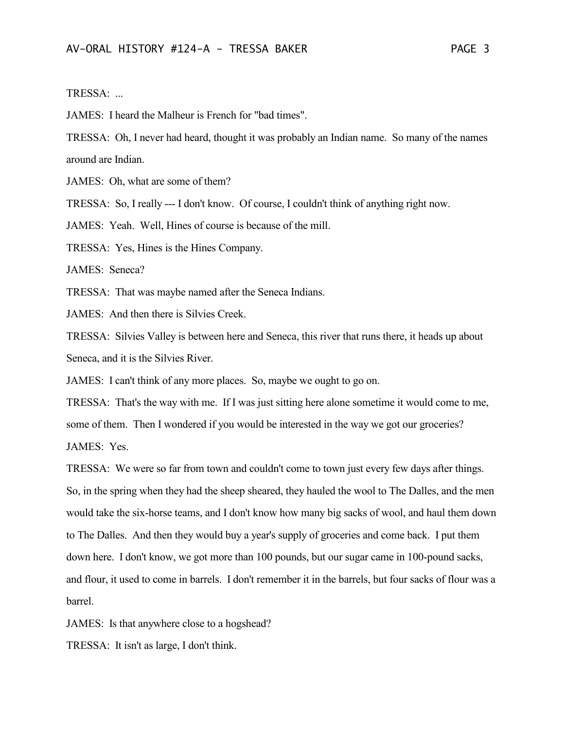## TRESSA: ...

JAMES: I heard the Malheur is French for "bad times".

TRESSA: Oh, I never had heard, thought it was probably an Indian name. So many of the names around are Indian.

JAMES: Oh, what are some of them?

TRESSA: So, I really --- I don't know. Of course, I couldn't think of anything right now.

JAMES: Yeah. Well, Hines of course is because of the mill.

TRESSA: Yes, Hines is the Hines Company.

JAMES: Seneca?

TRESSA: That was maybe named after the Seneca Indians.

JAMES: And then there is Silvies Creek.

TRESSA: Silvies Valley is between here and Seneca, this river that runs there, it heads up about Seneca, and it is the Silvies River.

JAMES: I can't think of any more places. So, maybe we ought to go on.

TRESSA: That's the way with me. If I was just sitting here alone sometime it would come to me, some of them. Then I wondered if you would be interested in the way we got our groceries? JAMES: Yes.

TRESSA: We were so far from town and couldn't come to town just every few days after things. So, in the spring when they had the sheep sheared, they hauled the wool to The Dalles, and the men would take the six-horse teams, and I don't know how many big sacks of wool, and haul them down to The Dalles. And then they would buy a year's supply of groceries and come back. I put them down here. I don't know, we got more than 100 pounds, but our sugar came in 100-pound sacks, and flour, it used to come in barrels. I don't remember it in the barrels, but four sacks of flour was a barrel.

JAMES: Is that anywhere close to a hogshead?

TRESSA: It isn't as large, I don't think.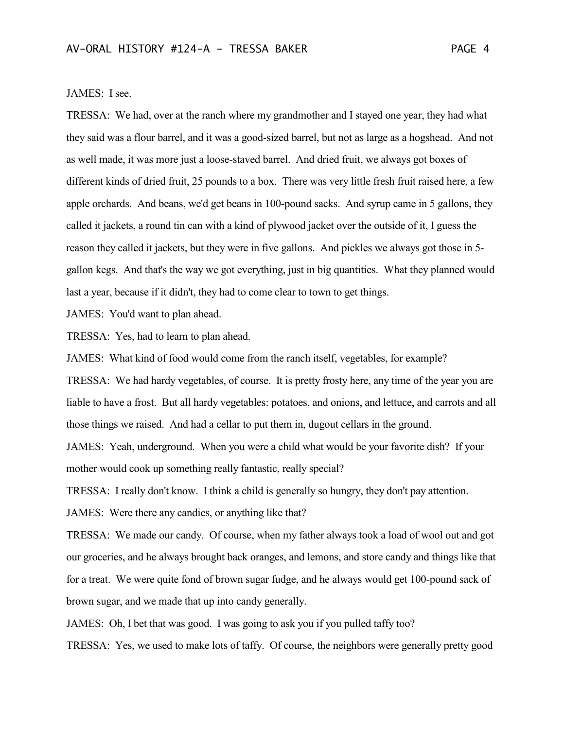## JAMES: I see.

TRESSA: We had, over at the ranch where my grandmother and I stayed one year, they had what they said was a flour barrel, and it was a good-sized barrel, but not as large as a hogshead. And not as well made, it was more just a loose-staved barrel. And dried fruit, we always got boxes of different kinds of dried fruit, 25 pounds to a box. There was very little fresh fruit raised here, a few apple orchards. And beans, we'd get beans in 100-pound sacks. And syrup came in 5 gallons, they called it jackets, a round tin can with a kind of plywood jacket over the outside of it, I guess the reason they called it jackets, but they were in five gallons. And pickles we always got those in 5 gallon kegs. And that's the way we got everything, just in big quantities. What they planned would last a year, because if it didn't, they had to come clear to town to get things.

JAMES: You'd want to plan ahead.

TRESSA: Yes, had to learn to plan ahead.

JAMES: What kind of food would come from the ranch itself, vegetables, for example?

TRESSA: We had hardy vegetables, of course. It is pretty frosty here, any time of the year you are liable to have a frost. But all hardy vegetables: potatoes, and onions, and lettuce, and carrots and all those things we raised. And had a cellar to put them in, dugout cellars in the ground.

JAMES: Yeah, underground. When you were a child what would be your favorite dish? If your mother would cook up something really fantastic, really special?

TRESSA: I really don't know. I think a child is generally so hungry, they don't pay attention.

JAMES: Were there any candies, or anything like that?

TRESSA: We made our candy. Of course, when my father always took a load of wool out and got our groceries, and he always brought back oranges, and lemons, and store candy and things like that for a treat. We were quite fond of brown sugar fudge, and he always would get 100-pound sack of brown sugar, and we made that up into candy generally.

JAMES: Oh, I bet that was good. I was going to ask you if you pulled taffy too?

TRESSA: Yes, we used to make lots of taffy. Of course, the neighbors were generally pretty good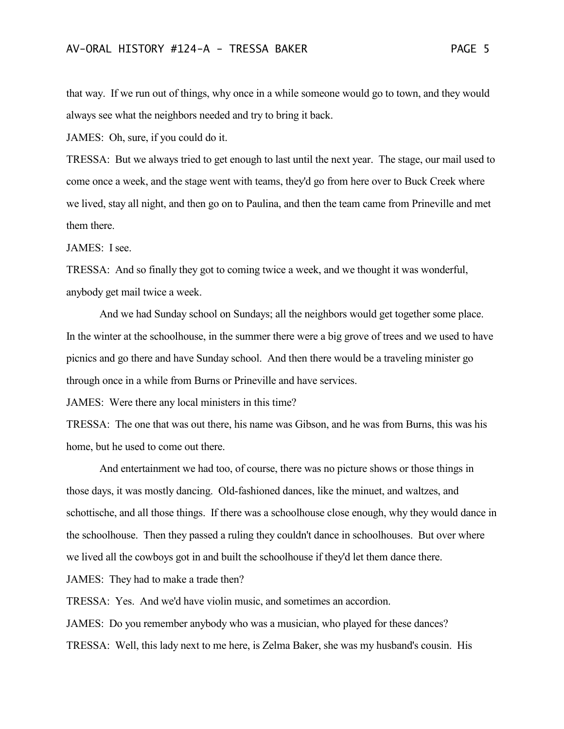that way. If we run out of things, why once in a while someone would go to town, and they would always see what the neighbors needed and try to bring it back.

JAMES: Oh, sure, if you could do it.

TRESSA: But we always tried to get enough to last until the next year. The stage, our mail used to come once a week, and the stage went with teams, they'd go from here over to Buck Creek where we lived, stay all night, and then go on to Paulina, and then the team came from Prineville and met them there.

JAMES: I see.

TRESSA: And so finally they got to coming twice a week, and we thought it was wonderful, anybody get mail twice a week.

And we had Sunday school on Sundays; all the neighbors would get together some place. In the winter at the schoolhouse, in the summer there were a big grove of trees and we used to have picnics and go there and have Sunday school. And then there would be a traveling minister go through once in a while from Burns or Prineville and have services.

JAMES: Were there any local ministers in this time?

TRESSA: The one that was out there, his name was Gibson, and he was from Burns, this was his home, but he used to come out there.

And entertainment we had too, of course, there was no picture shows or those things in those days, it was mostly dancing. Old-fashioned dances, like the minuet, and waltzes, and schottische, and all those things. If there was a schoolhouse close enough, why they would dance in the schoolhouse. Then they passed a ruling they couldn't dance in schoolhouses. But over where we lived all the cowboys got in and built the schoolhouse if they'd let them dance there.

JAMES: They had to make a trade then?

TRESSA: Yes. And we'd have violin music, and sometimes an accordion.

JAMES: Do you remember anybody who was a musician, who played for these dances? TRESSA: Well, this lady next to me here, is Zelma Baker, she was my husband's cousin. His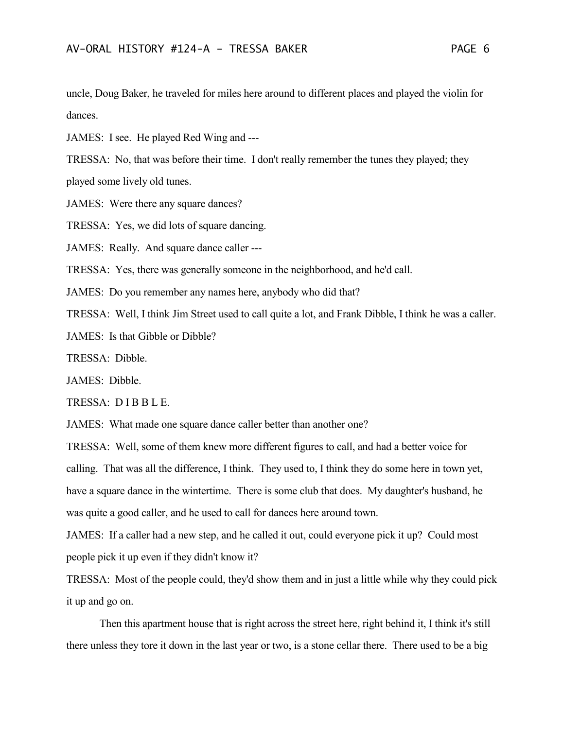uncle, Doug Baker, he traveled for miles here around to different places and played the violin for dances.

JAMES: I see. He played Red Wing and ---

TRESSA: No, that was before their time. I don't really remember the tunes they played; they played some lively old tunes.

JAMES: Were there any square dances?

TRESSA: Yes, we did lots of square dancing.

JAMES: Really. And square dance caller ---

TRESSA: Yes, there was generally someone in the neighborhood, and he'd call.

JAMES: Do you remember any names here, anybody who did that?

TRESSA: Well, I think Jim Street used to call quite a lot, and Frank Dibble, I think he was a caller.

JAMES: Is that Gibble or Dibble?

TRESSA: Dibble.

JAMES: Dibble.

TRESSA: D I B B L E.

JAMES: What made one square dance caller better than another one?

TRESSA: Well, some of them knew more different figures to call, and had a better voice for calling. That was all the difference, I think. They used to, I think they do some here in town yet, have a square dance in the wintertime. There is some club that does. My daughter's husband, he was quite a good caller, and he used to call for dances here around town.

JAMES: If a caller had a new step, and he called it out, could everyone pick it up? Could most people pick it up even if they didn't know it?

TRESSA: Most of the people could, they'd show them and in just a little while why they could pick it up and go on.

Then this apartment house that is right across the street here, right behind it, I think it's still there unless they tore it down in the last year or two, is a stone cellar there. There used to be a big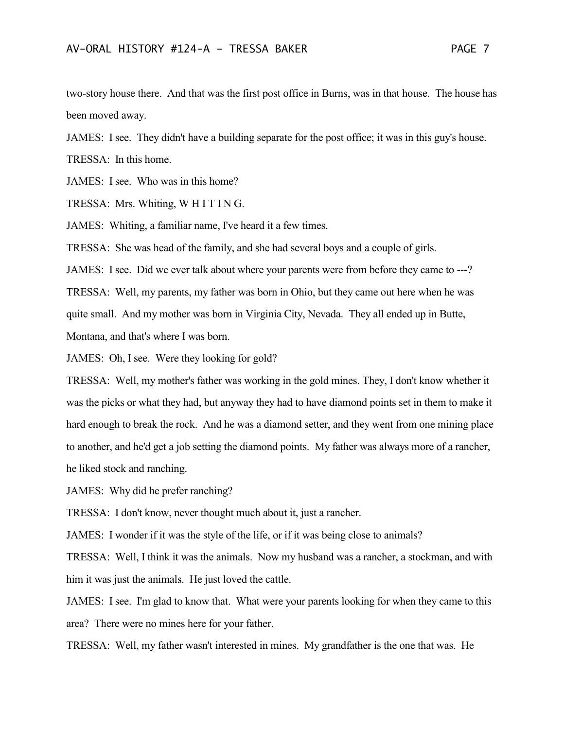two-story house there. And that was the first post office in Burns, was in that house. The house has been moved away.

JAMES: I see. They didn't have a building separate for the post office; it was in this guy's house.

TRESSA: In this home.

JAMES: I see. Who was in this home?

TRESSA: Mrs. Whiting, W H I T I N G.

JAMES: Whiting, a familiar name, I've heard it a few times.

TRESSA: She was head of the family, and she had several boys and a couple of girls.

JAMES: I see. Did we ever talk about where your parents were from before they came to ---?

TRESSA: Well, my parents, my father was born in Ohio, but they came out here when he was quite small. And my mother was born in Virginia City, Nevada. They all ended up in Butte, Montana, and that's where I was born.

JAMES: Oh, I see. Were they looking for gold?

TRESSA: Well, my mother's father was working in the gold mines. They, I don't know whether it was the picks or what they had, but anyway they had to have diamond points set in them to make it hard enough to break the rock. And he was a diamond setter, and they went from one mining place to another, and he'd get a job setting the diamond points. My father was always more of a rancher, he liked stock and ranching.

JAMES: Why did he prefer ranching?

TRESSA: I don't know, never thought much about it, just a rancher.

JAMES: I wonder if it was the style of the life, or if it was being close to animals?

TRESSA: Well, I think it was the animals. Now my husband was a rancher, a stockman, and with him it was just the animals. He just loved the cattle.

JAMES: I see. I'm glad to know that. What were your parents looking for when they came to this area? There were no mines here for your father.

TRESSA: Well, my father wasn't interested in mines. My grandfather is the one that was. He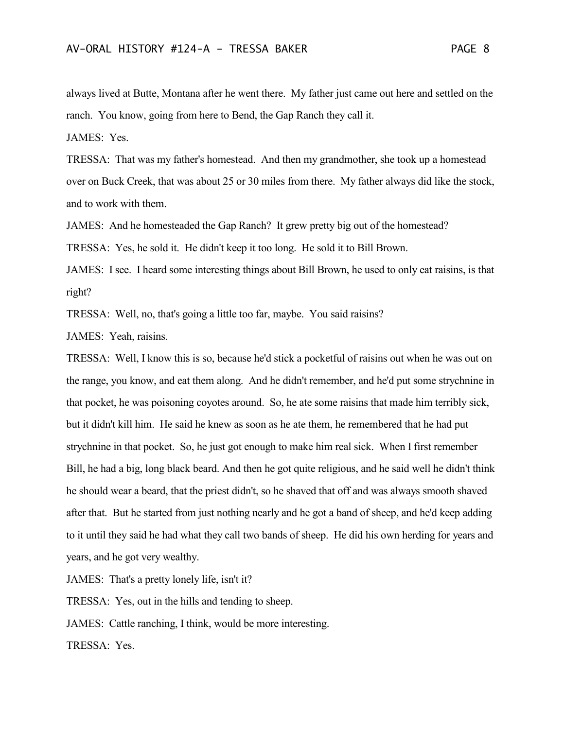always lived at Butte, Montana after he went there. My father just came out here and settled on the ranch. You know, going from here to Bend, the Gap Ranch they call it.

JAMES: Yes.

TRESSA: That was my father's homestead. And then my grandmother, she took up a homestead over on Buck Creek, that was about 25 or 30 miles from there. My father always did like the stock, and to work with them.

JAMES: And he homesteaded the Gap Ranch? It grew pretty big out of the homestead?

TRESSA: Yes, he sold it. He didn't keep it too long. He sold it to Bill Brown.

JAMES: I see. I heard some interesting things about Bill Brown, he used to only eat raisins, is that right?

TRESSA: Well, no, that's going a little too far, maybe. You said raisins?

JAMES: Yeah, raisins.

TRESSA: Well, I know this is so, because he'd stick a pocketful of raisins out when he was out on the range, you know, and eat them along. And he didn't remember, and he'd put some strychnine in that pocket, he was poisoning coyotes around. So, he ate some raisins that made him terribly sick, but it didn't kill him. He said he knew as soon as he ate them, he remembered that he had put strychnine in that pocket. So, he just got enough to make him real sick. When I first remember Bill, he had a big, long black beard. And then he got quite religious, and he said well he didn't think he should wear a beard, that the priest didn't, so he shaved that off and was always smooth shaved after that. But he started from just nothing nearly and he got a band of sheep, and he'd keep adding to it until they said he had what they call two bands of sheep. He did his own herding for years and years, and he got very wealthy.

JAMES: That's a pretty lonely life, isn't it?

TRESSA: Yes, out in the hills and tending to sheep.

JAMES: Cattle ranching, I think, would be more interesting.

TRESSA: Yes.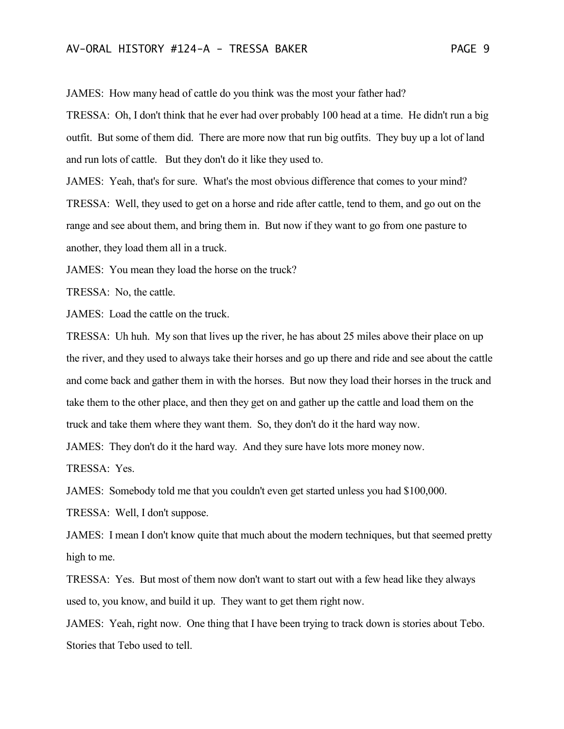JAMES: How many head of cattle do you think was the most your father had?

TRESSA: Oh, I don't think that he ever had over probably 100 head at a time. He didn't run a big outfit. But some of them did. There are more now that run big outfits. They buy up a lot of land and run lots of cattle. But they don't do it like they used to.

JAMES: Yeah, that's for sure. What's the most obvious difference that comes to your mind? TRESSA: Well, they used to get on a horse and ride after cattle, tend to them, and go out on the range and see about them, and bring them in. But now if they want to go from one pasture to another, they load them all in a truck.

JAMES: You mean they load the horse on the truck?

TRESSA: No, the cattle.

JAMES: Load the cattle on the truck.

TRESSA: Uh huh. My son that lives up the river, he has about 25 miles above their place on up the river, and they used to always take their horses and go up there and ride and see about the cattle and come back and gather them in with the horses. But now they load their horses in the truck and take them to the other place, and then they get on and gather up the cattle and load them on the truck and take them where they want them. So, they don't do it the hard way now.

JAMES: They don't do it the hard way. And they sure have lots more money now.

TRESSA: Yes.

JAMES: Somebody told me that you couldn't even get started unless you had \$100,000.

TRESSA: Well, I don't suppose.

JAMES: I mean I don't know quite that much about the modern techniques, but that seemed pretty high to me.

TRESSA: Yes. But most of them now don't want to start out with a few head like they always used to, you know, and build it up. They want to get them right now.

JAMES: Yeah, right now. One thing that I have been trying to track down is stories about Tebo. Stories that Tebo used to tell.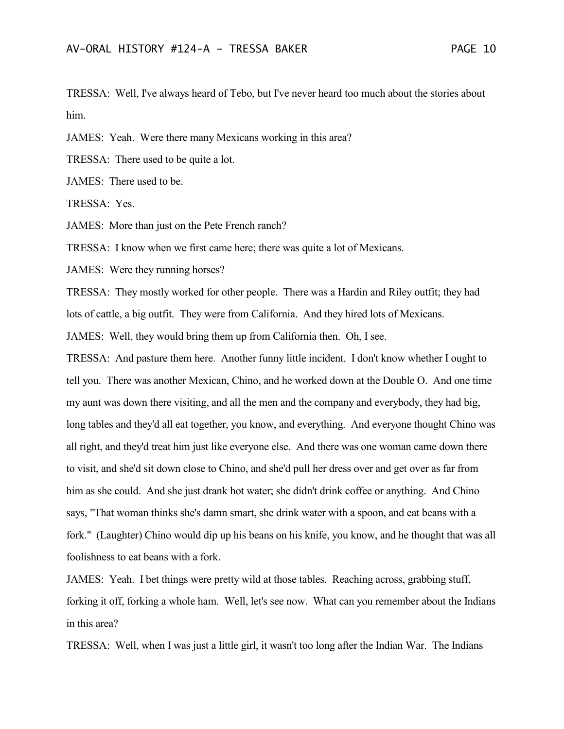TRESSA: Well, I've always heard of Tebo, but I've never heard too much about the stories about him.

JAMES: Yeah. Were there many Mexicans working in this area?

TRESSA: There used to be quite a lot.

JAMES: There used to be.

TRESSA: Yes.

JAMES: More than just on the Pete French ranch?

TRESSA: I know when we first came here; there was quite a lot of Mexicans.

JAMES: Were they running horses?

TRESSA: They mostly worked for other people. There was a Hardin and Riley outfit; they had lots of cattle, a big outfit. They were from California. And they hired lots of Mexicans.

JAMES: Well, they would bring them up from California then. Oh, I see.

TRESSA: And pasture them here. Another funny little incident. I don't know whether I ought to tell you. There was another Mexican, Chino, and he worked down at the Double O. And one time my aunt was down there visiting, and all the men and the company and everybody, they had big, long tables and they'd all eat together, you know, and everything. And everyone thought Chino was all right, and they'd treat him just like everyone else. And there was one woman came down there to visit, and she'd sit down close to Chino, and she'd pull her dress over and get over as far from him as she could. And she just drank hot water; she didn't drink coffee or anything. And Chino says, "That woman thinks she's damn smart, she drink water with a spoon, and eat beans with a fork." (Laughter) Chino would dip up his beans on his knife, you know, and he thought that was all foolishness to eat beans with a fork.

JAMES: Yeah. I bet things were pretty wild at those tables. Reaching across, grabbing stuff, forking it off, forking a whole ham. Well, let's see now. What can you remember about the Indians in this area?

TRESSA: Well, when I was just a little girl, it wasn't too long after the Indian War. The Indians